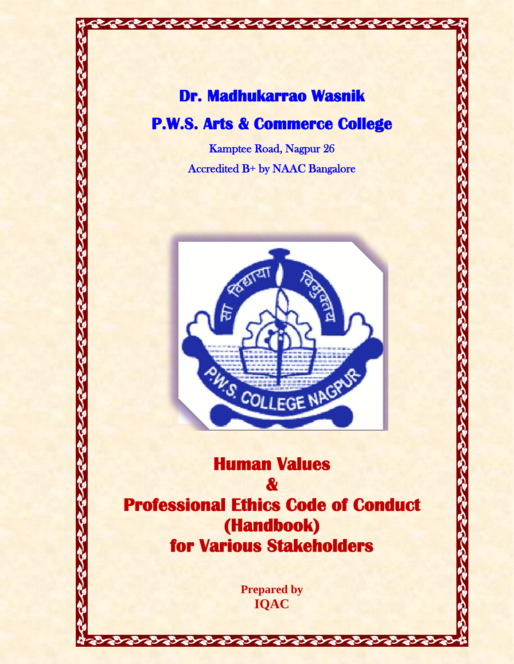# **Dr. Madhukarrao Wasnik**

てきてきてきてきてきてきてきて

## **P.W.S. Arts & Commerce College**

Kamptee Road, Nagpur 26 Accredited B+ by NAAC Bangalore



**Human Values & Professional Ethics Code of Conduct (Handbook) for Various Stakeholders** 

> **Prepared by IQAC**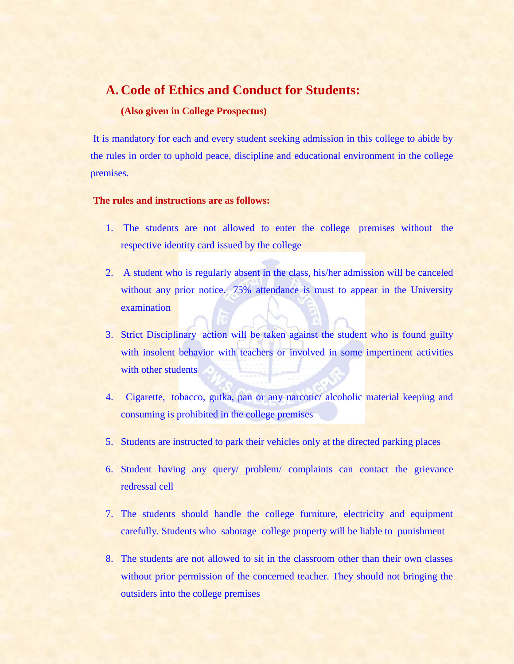### **A. Code of Ethics and Conduct for Students:**

#### **(Also given in College Prospectus)**

It is mandatory for each and every student seeking admission in this college to abide by the rules in order to uphold peace, discipline and educational environment in the college premises.

#### **The rules and instructions are as follows:**

- 1. The students are not allowed to enter the college premises without the respective identity card issued by the college
- 2. A student who is regularly absent in the class, his/her admission will be canceled without any prior notice. 75% attendance is must to appear in the University examination
- 3. Strict Disciplinary action will be taken against the student who is found guilty with insolent behavior with teachers or involved in some impertinent activities with other students
- 4. Cigarette, tobacco, gutka, pan or any narcotic/ alcoholic material keeping and consuming is prohibited in the college premises
- 5. Students are instructed to park their vehicles only at the directed parking places
- 6. Student having any query/ problem/ complaints can contact the grievance redressal cell
- 7. The students should handle the college furniture, electricity and equipment carefully. Students who sabotage college property will be liable to punishment
- 8. The students are not allowed to sit in the classroom other than their own classes without prior permission of the concerned teacher. They should not bringing the outsiders into the college premises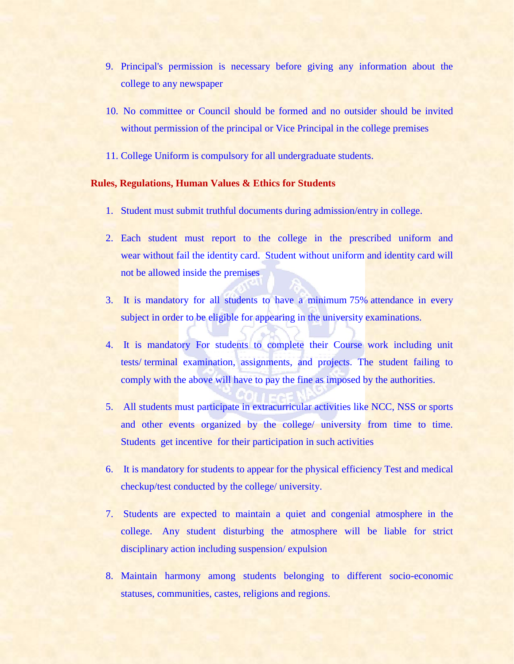- 9. Principal's permission is necessary before giving any information about the college to any newspaper
- 10. No committee or Council should be formed and no outsider should be invited without permission of the principal or Vice Principal in the college premises
- 11. College Uniform is compulsory for all undergraduate students.

#### **Rules, Regulations, Human Values & Ethics for Students**

- 1. Student must submit truthful documents during admission/entry in college.
- 2. Each student must report to the college in the prescribed uniform and wear without fail the identity card. Student without uniform and identity card will not be allowed inside the premises
- 3. It is mandatory for all students to have a minimum 75% attendance in every subject in order to be eligible for appearing in the university examinations.
- 4. It is mandatory For students to complete their Course work including unit tests/ terminal examination, assignments, and projects. The student failing to comply with the above will have to pay the fine as imposed by the authorities.
- 5. All students must participate in extracurricular activities like NCC, NSS or sports and other events organized by the college/ university from time to time. Students get incentive for their participation in such activities
- 6. It is mandatory for students to appear for the physical efficiency Test and medical checkup/test conducted by the college/ university.
- 7. Students are expected to maintain a quiet and congenial atmosphere in the college. Any student disturbing the atmosphere will be liable for strict disciplinary action including suspension/ expulsion
- 8. Maintain harmony among students belonging to different socio-economic statuses, communities, castes, religions and regions.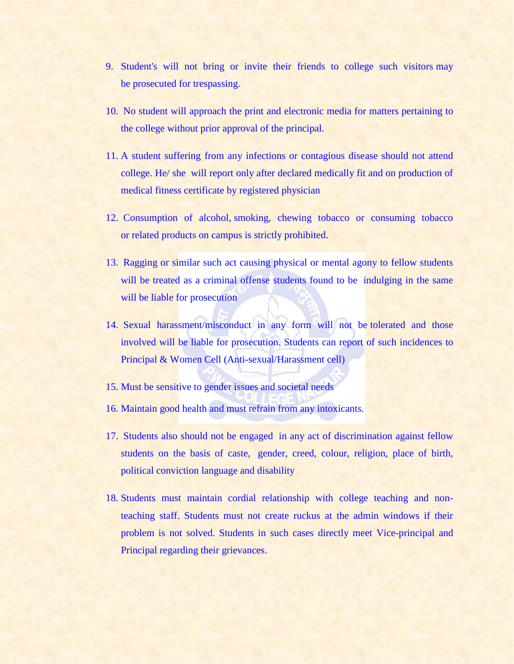- 9. Student's will not bring or invite their friends to college such visitors may be prosecuted for trespassing.
- 10. No student will approach the print and electronic media for matters pertaining to the college without prior approval of the principal.
- 11. A student suffering from any infections or contagious disease should not attend college. He/ she will report only after declared medically fit and on production of medical fitness certificate by registered physician
- 12. Consumption of alcohol, smoking, chewing tobacco or consuming tobacco or related products on campus is strictly prohibited.
- 13. Ragging or similar such act causing physical or mental agony to fellow students will be treated as a criminal offense students found to be indulging in the same will be liable for prosecution
- 14. Sexual harassment/misconduct in any form will not be tolerated and those involved will be liable for prosecution. Students can report of such incidences to Principal & Women Cell (Anti-sexual/Harassment cell)
- 15. Must be sensitive to gender issues and societal needs
- 16. Maintain good health and must refrain from any intoxicants.
- 17. Students also should not be engaged in any act of discrimination against fellow students on the basis of caste, gender, creed, colour, religion, place of birth, political conviction language and disability
- 18. Students must maintain cordial relationship with college teaching and nonteaching staff. Students must not create ruckus at the admin windows if their problem is not solved. Students in such cases directly meet Vice-principal and Principal regarding their grievances.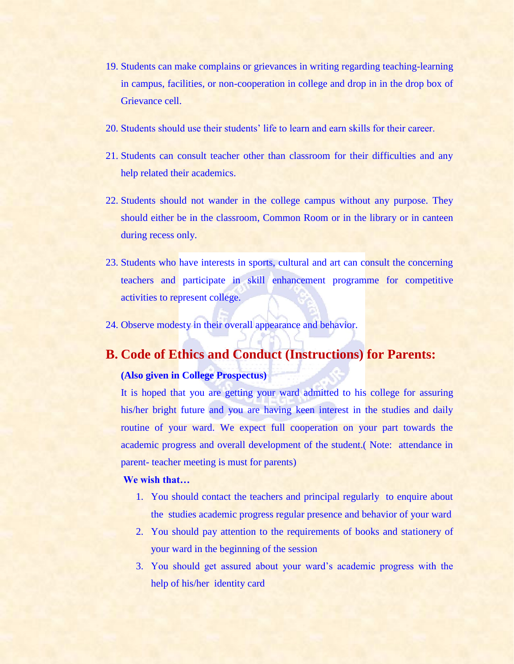- 19. Students can make complains or grievances in writing regarding teaching-learning in campus, facilities, or non-cooperation in college and drop in in the drop box of Grievance cell.
- 20. Students should use their students' life to learn and earn skills for their career.
- 21. Students can consult teacher other than classroom for their difficulties and any help related their academics.
- 22. Students should not wander in the college campus without any purpose. They should either be in the classroom, Common Room or in the library or in canteen during recess only.
- 23. Students who have interests in sports, cultural and art can consult the concerning teachers and participate in skill enhancement programme for competitive activities to represent college.
- 24. Observe modesty in their overall appearance and behavior.

## **B. Code of Ethics and Conduct (Instructions) for Parents:**

#### **(Also given in College Prospectus)**

It is hoped that you are getting your ward admitted to his college for assuring his/her bright future and you are having keen interest in the studies and daily routine of your ward. We expect full cooperation on your part towards the academic progress and overall development of the student.( Note: attendance in parent- teacher meeting is must for parents)

#### **We wish that…**

- 1. You should contact the teachers and principal regularly to enquire about the studies academic progress regular presence and behavior of your ward
- 2. You should pay attention to the requirements of books and stationery of your ward in the beginning of the session
- 3. You should get assured about your ward's academic progress with the help of his/her identity card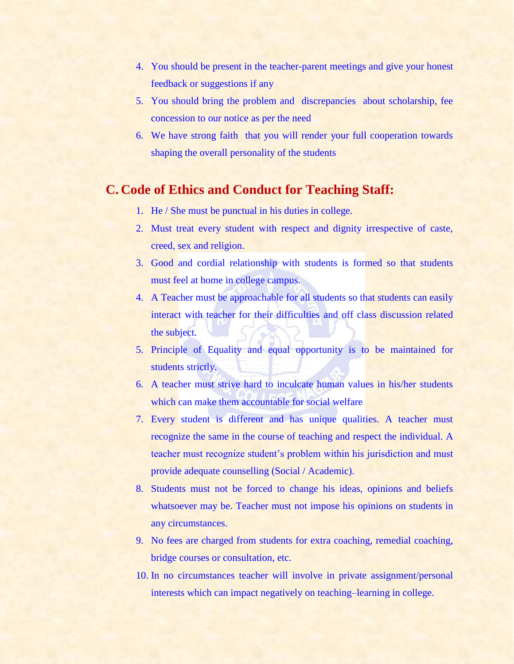- 4. You should be present in the teacher-parent meetings and give your honest feedback or suggestions if any
- 5. You should bring the problem and discrepancies about scholarship, fee concession to our notice as per the need
- 6. We have strong faith that you will render your full cooperation towards shaping the overall personality of the students

## **C. Code of Ethics and Conduct for Teaching Staff:**

- 1. He / She must be punctual in his duties in college.
- 2. Must treat every student with respect and dignity irrespective of caste, creed, sex and religion.
- 3. Good and cordial relationship with students is formed so that students must feel at home in college campus.
- 4. A Teacher must be approachable for all students so that students can easily interact with teacher for their difficulties and off class discussion related the subject.
- 5. Principle of Equality and equal opportunity is to be maintained for students strictly.
- 6. A teacher must strive hard to inculcate human values in his/her students which can make them accountable for social welfare
- 7. Every student is different and has unique qualities. A teacher must recognize the same in the course of teaching and respect the individual. A teacher must recognize student's problem within his jurisdiction and must provide adequate counselling (Social / Academic).
- 8. Students must not be forced to change his ideas, opinions and beliefs whatsoever may be. Teacher must not impose his opinions on students in any circumstances.
- 9. No fees are charged from students for extra coaching, remedial coaching, bridge courses or consultation, etc.
- 10. In no circumstances teacher will involve in private assignment/personal interests which can impact negatively on teaching–learning in college.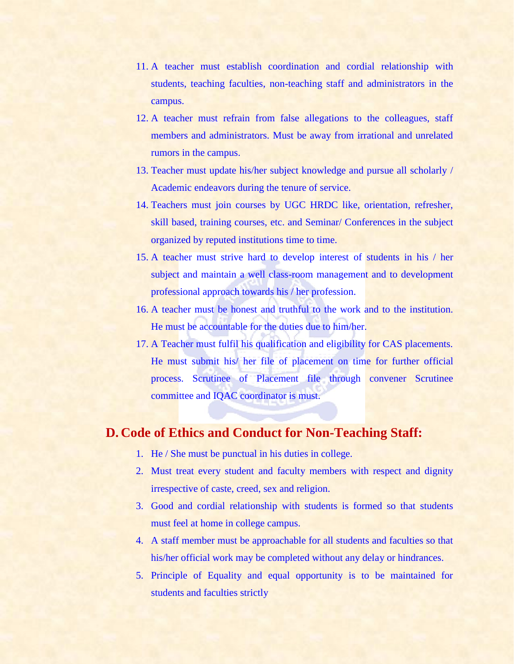- 11. A teacher must establish coordination and cordial relationship with students, teaching faculties, non-teaching staff and administrators in the campus.
- 12. A teacher must refrain from false allegations to the colleagues, staff members and administrators. Must be away from irrational and unrelated rumors in the campus.
- 13. Teacher must update his/her subject knowledge and pursue all scholarly / Academic endeavors during the tenure of service.
- 14. Teachers must join courses by UGC HRDC like, orientation, refresher, skill based, training courses, etc. and Seminar/ Conferences in the subject organized by reputed institutions time to time.
- 15. A teacher must strive hard to develop interest of students in his / her subject and maintain a well class-room management and to development professional approach towards his / her profession.
- 16. A teacher must be honest and truthful to the work and to the institution. He must be accountable for the duties due to him/her.
- 17. A Teacher must fulfil his qualification and eligibility for CAS placements. He must submit his/ her file of placement on time for further official process. Scrutinee of Placement file through convener Scrutinee committee and IQAC coordinator is must.

## **D. Code of Ethics and Conduct for Non-Teaching Staff:**

- 1. He / She must be punctual in his duties in college.
- 2. Must treat every student and faculty members with respect and dignity irrespective of caste, creed, sex and religion.
- 3. Good and cordial relationship with students is formed so that students must feel at home in college campus.
- 4. A staff member must be approachable for all students and faculties so that his/her official work may be completed without any delay or hindrances.
- 5. Principle of Equality and equal opportunity is to be maintained for students and faculties strictly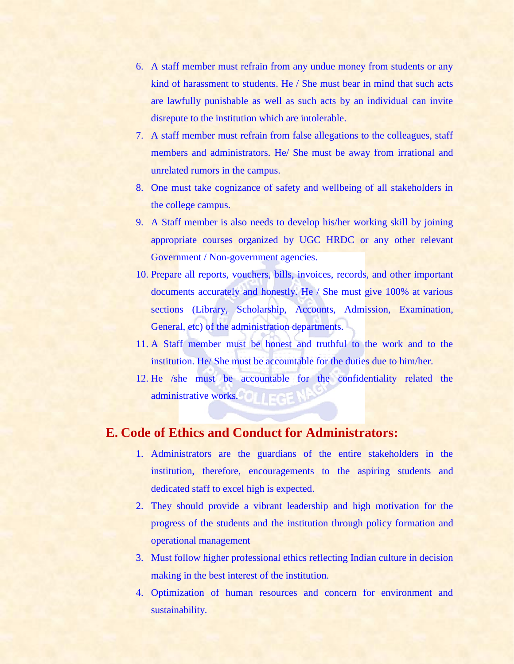- 6. A staff member must refrain from any undue money from students or any kind of harassment to students. He / She must bear in mind that such acts are lawfully punishable as well as such acts by an individual can invite disrepute to the institution which are intolerable.
- 7. A staff member must refrain from false allegations to the colleagues, staff members and administrators. He/ She must be away from irrational and unrelated rumors in the campus.
- 8. One must take cognizance of safety and wellbeing of all stakeholders in the college campus.
- 9. A Staff member is also needs to develop his/her working skill by joining appropriate courses organized by UGC HRDC or any other relevant Government / Non-government agencies.
- 10. Prepare all reports, vouchers, bills, invoices, records, and other important documents accurately and honestly. He / She must give 100% at various sections (Library, Scholarship, Accounts, Admission, Examination, General, etc) of the administration departments.
- 11. A Staff member must be honest and truthful to the work and to the institution. He/ She must be accountable for the duties due to him/her.
- 12. He /she must be accountable for the confidentiality related the administrative works.

## **E. Code of Ethics and Conduct for Administrators:**

- 1. Administrators are the guardians of the entire stakeholders in the institution, therefore, encouragements to the aspiring students and dedicated staff to excel high is expected.
- 2. They should provide a vibrant leadership and high motivation for the progress of the students and the institution through policy formation and operational management
- 3. Must follow higher professional ethics reflecting Indian culture in decision making in the best interest of the institution.
- 4. Optimization of human resources and concern for environment and sustainability.